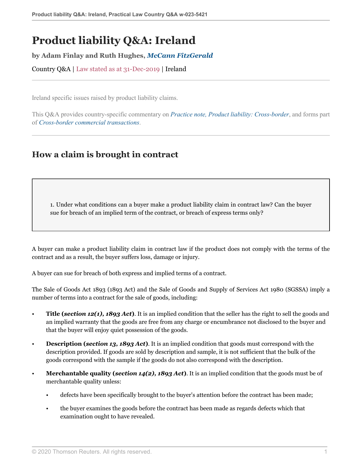# **Product liability Q&A: Ireland**

### **by Adam Finlay and Ruth Hughes,** *[McCann FitzGerald](https://uk.practicallaw.thomsonreuters.com/Browse/Home/About/Contributor/McCannFitzGerald )*

Country Q&A | Law stated as at 31-Dec-2019 | Ireland

Ireland specific issues raised by product liability claims.

This Q&A provides country-specific commentary on *[Practice note, Product liability: Cross-border](http://uk.practicallaw.thomsonreuters.com/3-107-4362?originationContext=document&vr=3.0&rs=PLUK1.0&transitionType=DocumentItem&contextData=(sc.Default))*, and forms part of *[Cross-border commercial transactions](https://uk.practicallaw.thomsonreuters.com/Browse/Home/International/Crossbordercommercialtransactions )*.

### **How a claim is brought in contract**

<span id="page-0-0"></span>1. Under what conditions can a buyer make a product liability claim in contract law? Can the buyer sue for breach of an implied term of the contract, or breach of express terms only?

A buyer can make a product liability claim in contract law if the product does not comply with the terms of the contract and as a result, the buyer suffers loss, damage or injury.

A buyer can sue for breach of both express and implied terms of a contract.

The Sale of Goods Act 1893 (1893 Act) and the Sale of Goods and Supply of Services Act 1980 (SGSSA) imply a number of terms into a contract for the sale of goods, including:

- **Title (***section 12(1), 1893 Act***)**. It is an implied condition that the seller has the right to sell the goods and an implied warranty that the goods are free from any charge or encumbrance not disclosed to the buyer and that the buyer will enjoy quiet possession of the goods.
- **Description (***section 13, 1893 Act***)**. It is an implied condition that goods must correspond with the description provided. If goods are sold by description and sample, it is not sufficient that the bulk of the goods correspond with the sample if the goods do not also correspond with the description.
- **Merchantable quality (***section 14(2), 1893 Act***)**. It is an implied condition that the goods must be of merchantable quality unless:
	- defects have been specifically brought to the buyer's attention before the contract has been made;
	- the buyer examines the goods before the contract has been made as regards defects which that examination ought to have revealed.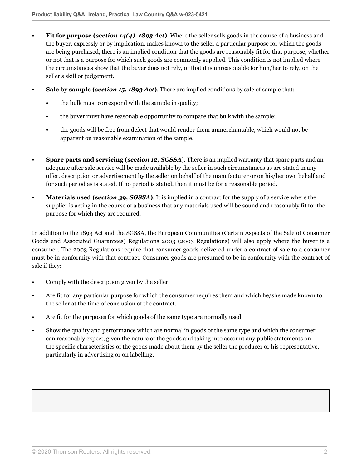- **Fit for purpose (***section 14(4), 1893 Act***)**. Where the seller sells goods in the course of a business and the buyer, expressly or by implication, makes known to the seller a particular purpose for which the goods are being purchased, there is an implied condition that the goods are reasonably fit for that purpose, whether or not that is a purpose for which such goods are commonly supplied. This condition is not implied where the circumstances show that the buyer does not rely, or that it is unreasonable for him/her to rely, on the seller's skill or judgement.
- **Sale by sample (***section 15, 1893 Act***)**. There are implied conditions by sale of sample that:
	- the bulk must correspond with the sample in quality;
	- the buyer must have reasonable opportunity to compare that bulk with the sample;
	- the goods will be free from defect that would render them unmerchantable, which would not be apparent on reasonable examination of the sample.
- **Spare parts and servicing (***section 12, SGSSA*). There is an implied warranty that spare parts and an adequate after sale service will be made available by the seller in such circumstances as are stated in any offer, description or advertisement by the seller on behalf of the manufacturer or on his/her own behalf and for such period as is stated. If no period is stated, then it must be for a reasonable period.
- **Materials used (***section 39, SGSSA***)**. It is implied in a contract for the supply of a service where the supplier is acting in the course of a business that any materials used will be sound and reasonably fit for the purpose for which they are required.

In addition to the 1893 Act and the SGSSA, the European Communities (Certain Aspects of the Sale of Consumer Goods and Associated Guarantees) Regulations 2003 (2003 Regulations) will also apply where the buyer is a consumer. The 2003 Regulations require that consumer goods delivered under a contract of sale to a consumer must be in conformity with that contract. Consumer goods are presumed to be in conformity with the contract of sale if they:

- Comply with the description given by the seller.
- Are fit for any particular purpose for which the consumer requires them and which he/she made known to the seller at the time of conclusion of the contract.
- Are fit for the purposes for which goods of the same type are normally used.
- Show the quality and performance which are normal in goods of the same type and which the consumer can reasonably expect, given the nature of the goods and taking into account any public statements on the specific characteristics of the goods made about them by the seller the producer or his representative, particularly in advertising or on labelling.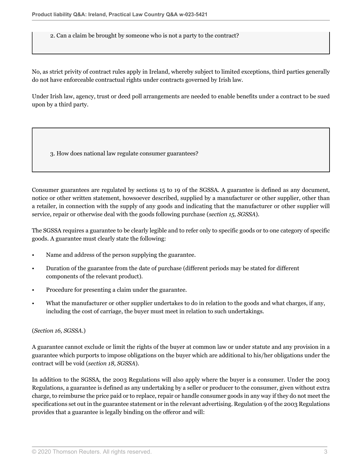2. Can a claim be brought by someone who is not a party to the contract?

No, as strict privity of contract rules apply in Ireland, whereby subject to limited exceptions, third parties generally do not have enforceable contractual rights under contracts governed by Irish law.

Under Irish law, agency, trust or deed poll arrangements are needed to enable benefits under a contract to be sued upon by a third party.

3. How does national law regulate consumer guarantees?

Consumer guarantees are regulated by sections 15 to 19 of the SGSSA. A guarantee is defined as any document, notice or other written statement, howsoever described, supplied by a manufacturer or other supplier, other than a retailer, in connection with the supply of any goods and indicating that the manufacturer or other supplier will service, repair or otherwise deal with the goods following purchase (*section 15, SGSSA*).

The SGSSA requires a guarantee to be clearly legible and to refer only to specific goods or to one category of specific goods. A guarantee must clearly state the following:

- Name and address of the person supplying the guarantee.
- Duration of the guarantee from the date of purchase (different periods may be stated for different components of the relevant product).
- Procedure for presenting a claim under the guarantee.
- What the manufacturer or other supplier undertakes to do in relation to the goods and what charges, if any, including the cost of carriage, the buyer must meet in relation to such undertakings.

#### (*Section 16, SGSSA.*)

A guarantee cannot exclude or limit the rights of the buyer at common law or under statute and any provision in a guarantee which purports to impose obligations on the buyer which are additional to his/her obligations under the contract will be void (*section 18, SGSSA*).

In addition to the SGSSA, the 2003 Regulations will also apply where the buyer is a consumer. Under the 2003 Regulations, a guarantee is defined as any undertaking by a seller or producer to the consumer, given without extra charge, to reimburse the price paid or to replace, repair or handle consumer goods in any way if they do not meet the specifications set out in the guarantee statement or in the relevant advertising. Regulation 9 of the 2003 Regulations provides that a guarantee is legally binding on the offeror and will: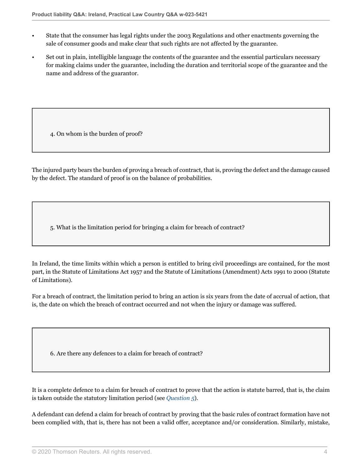- State that the consumer has legal rights under the 2003 Regulations and other enactments governing the sale of consumer goods and make clear that such rights are not affected by the guarantee.
- Set out in plain, intelligible language the contents of the guarantee and the essential particulars necessary for making claims under the guarantee, including the duration and territorial scope of the guarantee and the name and address of the guarantor.

4. On whom is the burden of proof?

The injured party bears the burden of proving a breach of contract, that is, proving the defect and the damage caused by the defect. The standard of proof is on the balance of probabilities.

<span id="page-3-0"></span>5. What is the limitation period for bringing a claim for breach of contract?

In Ireland, the time limits within which a person is entitled to bring civil proceedings are contained, for the most part, in the Statute of Limitations Act 1957 and the Statute of Limitations (Amendment) Acts 1991 to 2000 (Statute of Limitations).

For a breach of contract, the limitation period to bring an action is six years from the date of accrual of action, that is, the date on which the breach of contract occurred and not when the injury or damage was suffered.

6. Are there any defences to a claim for breach of contract?

It is a complete defence to a claim for breach of contract to prove that the action is statute barred, that is, the claim is taken outside the statutory limitation period (see *[Question 5](#page-3-0)*).

A defendant can defend a claim for breach of contract by proving that the basic rules of contract formation have not been complied with, that is, there has not been a valid offer, acceptance and/or consideration. Similarly, mistake,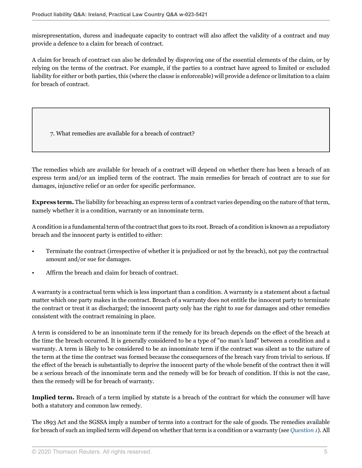misrepresentation, duress and inadequate capacity to contract will also affect the validity of a contract and may provide a defence to a claim for breach of contract.

A claim for breach of contract can also be defended by disproving one of the essential elements of the claim, or by relying on the terms of the contract. For example, if the parties to a contract have agreed to limited or excluded liability for either or both parties, this (where the clause is enforceable) will provide a defence or limitation to a claim for breach of contract.

7. What remedies are available for a breach of contract?

The remedies which are available for breach of a contract will depend on whether there has been a breach of an express term and/or an implied term of the contract. The main remedies for breach of contract are to sue for damages, injunctive relief or an order for specific performance.

**Express term.** The liability for breaching an express term of a contract varies depending on the nature of that term, namely whether it is a condition, warranty or an innominate term.

A condition is a fundamental term of the contract that goes to its root. Breach of a condition is known as a repudiatory breach and the innocent party is entitled to either:

- Terminate the contract (irrespective of whether it is prejudiced or not by the breach), not pay the contractual amount and/or sue for damages.
- Affirm the breach and claim for breach of contract.

A warranty is a contractual term which is less important than a condition. A warranty is a statement about a factual matter which one party makes in the contract. Breach of a warranty does not entitle the innocent party to terminate the contract or treat it as discharged; the innocent party only has the right to sue for damages and other remedies consistent with the contract remaining in place.

A term is considered to be an innominate term if the remedy for its breach depends on the effect of the breach at the time the breach occurred. It is generally considered to be a type of "no man's land" between a condition and a warranty. A term is likely to be considered to be an innominate term if the contract was silent as to the nature of the term at the time the contract was formed because the consequences of the breach vary from trivial to serious. If the effect of the breach is substantially to deprive the innocent party of the whole benefit of the contract then it will be a serious breach of the innominate term and the remedy will be for breach of condition. If this is not the case, then the remedy will be for breach of warranty.

**Implied term.** Breach of a term implied by statute is a breach of the contract for which the consumer will have both a statutory and common law remedy.

The 1893 Act and the SGSSA imply a number of terms into a contract for the sale of goods. The remedies available for breach of such an implied term will depend on whether that term is a condition or a warranty (see *[Question 1](#page-0-0)*). All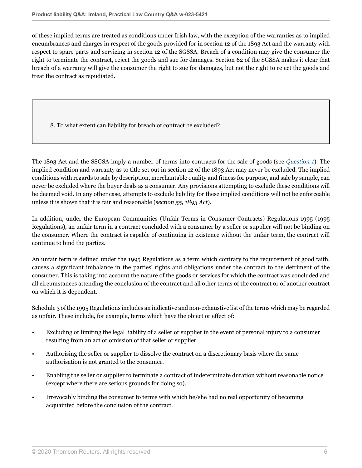of these implied terms are treated as conditions under Irish law, with the exception of the warranties as to implied encumbrances and charges in respect of the goods provided for in section 12 of the 1893 Act and the warranty with respect to spare parts and servicing in section 12 of the SGSSA. Breach of a condition may give the consumer the right to terminate the contract, reject the goods and sue for damages. Section 62 of the SGSSA makes it clear that breach of a warranty will give the consumer the right to sue for damages, but not the right to reject the goods and treat the contract as repudiated.

<span id="page-5-0"></span>8. To what extent can liability for breach of contract be excluded?

The 1893 Act and the SSGSA imply a number of terms into contracts for the sale of goods (see *[Question 1](#page-0-0)*). The implied condition and warranty as to title set out in section 12 of the 1893 Act may never be excluded. The implied conditions with regards to sale by description, merchantable quality and fitness for purpose, and sale by sample, can never be excluded where the buyer deals as a consumer. Any provisions attempting to exclude these conditions will be deemed void. In any other case, attempts to exclude liability for these implied conditions will not be enforceable unless it is shown that it is fair and reasonable (*section 55, 1893 Act*).

In addition, under the European Communities (Unfair Terms in Consumer Contracts) Regulations 1995 (1995 Regulations), an unfair term in a contract concluded with a consumer by a seller or supplier will not be binding on the consumer. Where the contract is capable of continuing in existence without the unfair term, the contract will continue to bind the parties.

An unfair term is defined under the 1995 Regulations as a term which contrary to the requirement of good faith, causes a significant imbalance in the parties' rights and obligations under the contract to the detriment of the consumer. This is taking into account the nature of the goods or services for which the contract was concluded and all circumstances attending the conclusion of the contract and all other terms of the contract or of another contract on which it is dependent.

Schedule 3 of the 1995 Regulations includes an indicative and non-exhaustive list of the terms which may be regarded as unfair. These include, for example, terms which have the object or effect of:

- Excluding or limiting the legal liability of a seller or supplier in the event of personal injury to a consumer resulting from an act or omission of that seller or supplier.
- Authorising the seller or supplier to dissolve the contract on a discretionary basis where the same authorisation is not granted to the consumer.
- Enabling the seller or supplier to terminate a contract of indeterminate duration without reasonable notice (except where there are serious grounds for doing so).
- Irrevocably binding the consumer to terms with which he/she had no real opportunity of becoming acquainted before the conclusion of the contract.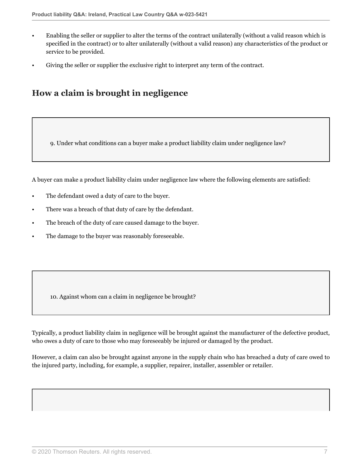- Enabling the seller or supplier to alter the terms of the contract unilaterally (without a valid reason which is specified in the contract) or to alter unilaterally (without a valid reason) any characteristics of the product or service to be provided.
- Giving the seller or supplier the exclusive right to interpret any term of the contract.

## **How a claim is brought in negligence**

9. Under what conditions can a buyer make a product liability claim under negligence law?

A buyer can make a product liability claim under negligence law where the following elements are satisfied:

- The defendant owed a duty of care to the buyer.
- There was a breach of that duty of care by the defendant.
- The breach of the duty of care caused damage to the buyer.
- The damage to the buyer was reasonably foreseeable.

10. Against whom can a claim in negligence be brought?

Typically, a product liability claim in negligence will be brought against the manufacturer of the defective product, who owes a duty of care to those who may foreseeably be injured or damaged by the product.

However, a claim can also be brought against anyone in the supply chain who has breached a duty of care owed to the injured party, including, for example, a supplier, repairer, installer, assembler or retailer.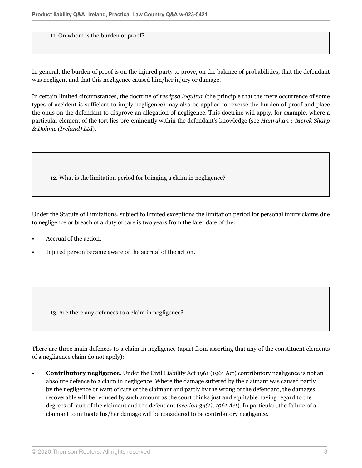#### 11. On whom is the burden of proof?

In general, the burden of proof is on the injured party to prove, on the balance of probabilities, that the defendant was negligent and that this negligence caused him/her injury or damage.

In certain limited circumstances, the doctrine of *res ipsa loquitur* (the principle that the mere occurrence of some types of accident is sufficient to imply negligence) may also be applied to reverse the burden of proof and place the onus on the defendant to disprove an allegation of negligence. This doctrine will apply, for example, where a particular element of the tort lies pre-eminently within the defendant's knowledge (see *Hanrahan v Merck Sharp & Dohme (Ireland) Ltd*).

12. What is the limitation period for bringing a claim in negligence?

Under the Statute of Limitations, subject to limited exceptions the limitation period for personal injury claims due to negligence or breach of a duty of care is two years from the later date of the:

- Accrual of the action.
- Injured person became aware of the accrual of the action.

13. Are there any defences to a claim in negligence?

There are three main defences to a claim in negligence (apart from asserting that any of the constituent elements of a negligence claim do not apply):

• **Contributory negligence**. Under the Civil Liability Act 1961 (1961 Act) contributory negligence is not an absolute defence to a claim in negligence. Where the damage suffered by the claimant was caused partly by the negligence or want of care of the claimant and partly by the wrong of the defendant, the damages recoverable will be reduced by such amount as the court thinks just and equitable having regard to the degrees of fault of the claimant and the defendant (*section 34(1), 1961 Act*). In particular, the failure of a claimant to mitigate his/her damage will be considered to be contributory negligence.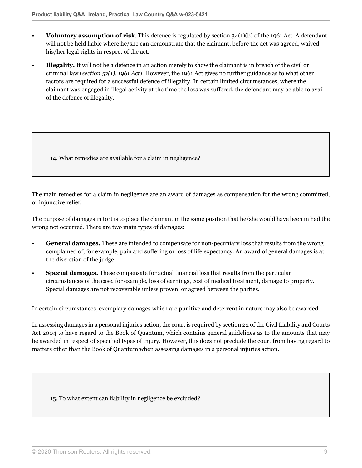- **Voluntary assumption of risk**. This defence is regulated by section 34(1)(b) of the 1961 Act. A defendant will not be held liable where he/she can demonstrate that the claimant, before the act was agreed, waived his/her legal rights in respect of the act.
- **Illegality.** It will not be a defence in an action merely to show the claimant is in breach of the civil or criminal law (*section 57(1), 1961 Act*). However, the 1961 Act gives no further guidance as to what other factors are required for a successful defence of illegality. In certain limited circumstances, where the claimant was engaged in illegal activity at the time the loss was suffered, the defendant may be able to avail of the defence of illegality.

14. What remedies are available for a claim in negligence?

The main remedies for a claim in negligence are an award of damages as compensation for the wrong committed, or injunctive relief.

The purpose of damages in tort is to place the claimant in the same position that he/she would have been in had the wrong not occurred. There are two main types of damages:

- **General damages.** These are intended to compensate for non-pecuniary loss that results from the wrong complained of, for example, pain and suffering or loss of life expectancy. An award of general damages is at the discretion of the judge.
- **Special damages.** These compensate for actual financial loss that results from the particular circumstances of the case, for example, loss of earnings, cost of medical treatment, damage to property. Special damages are not recoverable unless proven, or agreed between the parties.

In certain circumstances, exemplary damages which are punitive and deterrent in nature may also be awarded.

In assessing damages in a personal injuries action, the court is required by section 22 of the Civil Liability and Courts Act 2004 to have regard to the Book of Quantum, which contains general guidelines as to the amounts that may be awarded in respect of specified types of injury. However, this does not preclude the court from having regard to matters other than the Book of Quantum when assessing damages in a personal injuries action.

15. To what extent can liability in negligence be excluded?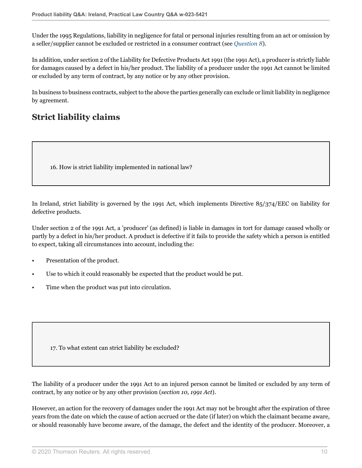Under the 1995 Regulations, liability in negligence for fatal or personal injuries resulting from an act or omission by a seller/supplier cannot be excluded or restricted in a consumer contract (see *[Question 8](#page-5-0)*).

In addition, under section 2 of the Liability for Defective Products Act 1991 (the 1991 Act), a producer is strictly liable for damages caused by a defect in his/her product. The liability of a producer under the 1991 Act cannot be limited or excluded by any term of contract, by any notice or by any other provision.

In business to business contracts, subject to the above the parties generally can exclude or limit liability in negligence by agreement.

## **Strict liability claims**

16. How is strict liability implemented in national law?

In Ireland, strict liability is governed by the 1991 Act, which implements Directive 85/374/EEC on liability for defective products.

Under section 2 of the 1991 Act, a 'producer' (as defined) is liable in damages in tort for damage caused wholly or partly by a defect in his/her product. A product is defective if it fails to provide the safety which a person is entitled to expect, taking all circumstances into account, including the:

- Presentation of the product.
- Use to which it could reasonably be expected that the product would be put.
- Time when the product was put into circulation.

17. To what extent can strict liability be excluded?

The liability of a producer under the 1991 Act to an injured person cannot be limited or excluded by any term of contract, by any notice or by any other provision (*section 10, 1991 Act*).

However, an action for the recovery of damages under the 1991 Act may not be brought after the expiration of three years from the date on which the cause of action accrued or the date (if later) on which the claimant became aware, or should reasonably have become aware, of the damage, the defect and the identity of the producer. Moreover, a